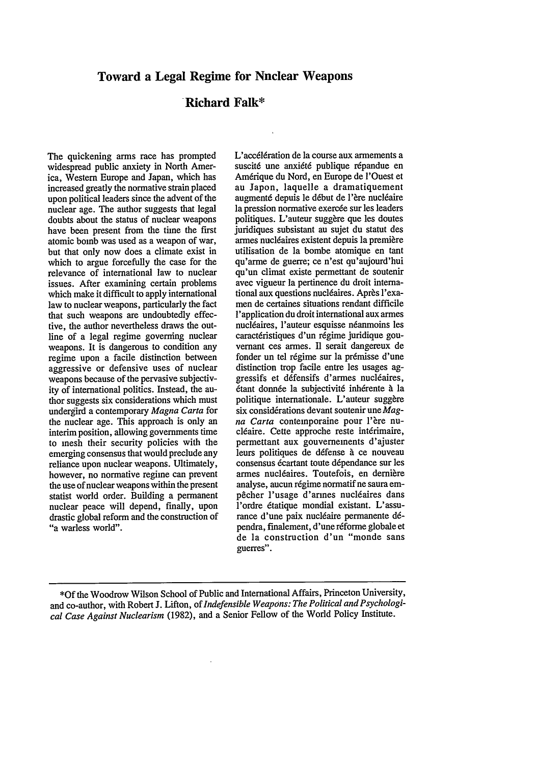# **Toward a Legal Regime for Nuclear Weapons**

# **-Richard Falk\***

The quickening arms race has prompted widespread public anxiety in North America, Western Europe and Japan, which has increased greatly the normative strain placed upon political leaders since the advent of the nuclear age. The author suggests that legal doubts about the status of nuclear weapons have been present from the time the first atomic bomb was used as a weapon of war, but that only now does a climate exist in which to argue forcefully the case for the relevance of international law to nuclear issues. After examining certain problems which make it difficult to apply international law to nuclear weapons, particularly the fact that such weapons are undoubtedly effective, the author nevertheless draws the outline of a legal regime governing nuclear weapons. It is dangerous to condition any regime upon a facile distinction between aggressive or defensive uses of nuclear weapons because of the pervasive subjectivity of international politics. Instead, the author suggests six considerations which must undergird a contemporary *Magna Carta* for the nuclear age. This approach is only an interim position, allowing governments time to mesh their security policies with the emerging consensus that would preclude any reliance upon nuclear weapons. Ultimately, however, no normative regime can prevent the use of nuclear weapons within the present statist world order. Building a permanent nuclear peace will depend, finally, upon drastic global reform and the construction of "a warless world".

L'acc616ration de la course aux armements a suscité une anxiété publique répandue en Am6rique du Nord, en Europe de l'Ouest et au Japon, laquelle a dramatiquement augmenté depuis le début de l'ère nucléaire la pression normative exercée sur les leaders politiques. L'auteur suggère que les doutes juridiques subsistant au sujet du statut des armes nucl6aires existent depuis la premiere utilisation de la bombe atomique en tant qu'arme de guerre; ce n'est qu'aujourd'hui qu'un climat existe permettant de soutenir avec vigueur la pertinence du droit international aux questions nucléaires. Après l'examen de certaines situations rendant difficile l'application du droit international aux armes nucl6aires, l'auteur esquisse n6anmoins les caractéristiques d'un régime juridique gouvernant ces armes. Il serait dangereux de fonder un tel régime sur la prémisse d'une distinction trop facile entre les usages aggressifs et défensifs d'armes nucléaires, étant donnée la subjectivité inhérente à la politique internationale. L'auteur suggère six considérations devant soutenir une Mag*na Carta* contemporaine pour l'6re nucléaire. Cette approche reste intérimaire, permettant aux gouvernements d'ajuster leurs politiques de défense à ce nouveau consensus écartant toute dépendance sur les armes nucléaires. Toutefois, en dernière analyse, aucun régime normatif ne saura empêcher l'usage d'armes nucléaires dans l'ordre 6tatique mondial existant. L'assurance d'une paix nucl6aire permanente **d6** pendra, finalement, d'une réforme globale et de la construction d'un "monde sans guerres".

**<sup>\*</sup>Of** the Woodrow Wilson School of Public and International Affairs, Princeton University, and co-author, with Robert J. Lifton, *of Indefensible Weapons: The Political and Psychological Case Against Nuclearism* (1982), and a Senior Fellow of the World Policy Institute.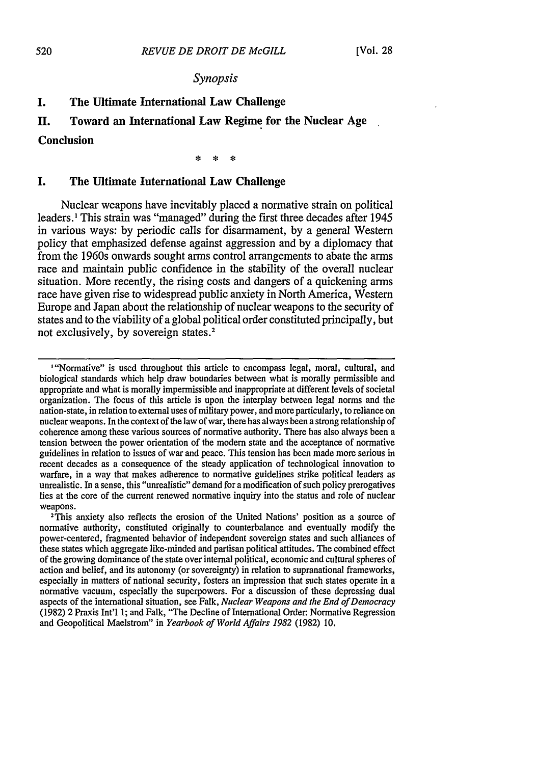### *Synopsis*

# **I. The Ultimate International Law Challenge**

## **H. Toward an International Law Regime for the Nuclear Age**

### **Conclusion**

#### sk. sk.  $\mathcal{R}$

### **I. The Ultimate International Law Challenge**

**Nuclear** weapons have inevitably placed **a normative strain on political leaders.' This strain was "managed" during the first three** decades after 1945 in various ways: **by** periodic calls for disarmament, **by** a general Western policy that emphasized defense against aggression and **by** a diplomacy that from the 1960s onwards sought arms control arrangements to abate the arms race and maintain public confidence in the stability of the overall nuclear situation. More recently, the rising costs and dangers of a quickening arms race have given rise to widespread public anxiety in North America, Western Europe and Japan about the relationship of nuclear weapons to the security of states and to the viability of a global political order constituted principally, but not exclusively, **by** sovereign states.<sup>2</sup>

I"Normative" is used throughout this article to encompass legal, moral, cultural, and biological standards which help draw boundaries between what is morally permissible and appropriate and what is morally impermissible and inappropriate at different levels of societal organization. The focus of this article is upon the interplay between legal norms and the nation-state, in relation to external uses of military power, and more particularly, to reliance on nuclear weapons. In the context of the law of war, there has always been a strong relationship of coherence among these various sources of normative authority. There has also always been a tension between the power orientation of the modern state and the acceptance of normative guidelines in relation to issues of war and peace. This tension has been made more serious in recent decades as a consequence of the steady application of technological innovation to warfare, in a way that makes adherence to normative guidelines strike political leaders as unrealistic. In a sense, this "unrealistic" demand for a modification of such policy prerogatives lies at the core of the current renewed normative inquiry into the status and role of nuclear weapons.

This anxiety also reflects the erosion of the United Nations' position as a source of normative authority, constituted originally to counterbalance and eventually modify the power-centered, fragmented behavior of independent sovereign states and such alliances of these states which aggregate like-minded and partisan political attitudes. The combined effect of the growing dominance of the state over internal political, economic and cultural spheres of action and belief, and its autonomy (or sovereignty) in relation to supranational frameworks, especially in matters of national security, fosters an impression that such states operate in a normative vacuum, especially the superpowers. For a discussion of these depressing dual aspects of the international situation, see Falk, *Nuclear Weapons and the End of Democracy* (1982) 2 Praxis Int'l 1; and Falk, "The Decline of International Order: Normative Regression and Geopolitical Maelstrom" in *Yearbook of World Affairs 1982* (1982) 10.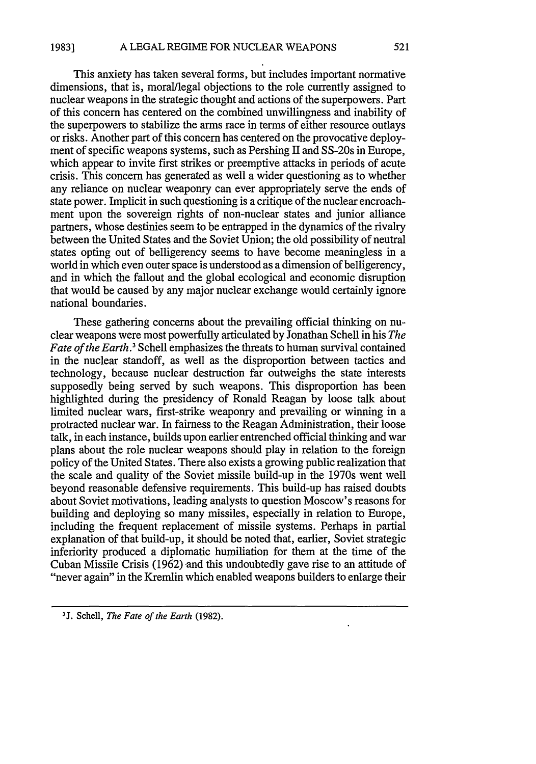This anxiety has taken several forms, but includes important normative dimensions, that is, moral/legal objections to the role currently assigned to nuclear weapons in the strategic thought and actions of the superpowers. Part of this concern has centered on the combined unwillingness and inability of the superpowers to stabilize the arms race in terms of either resource outlays or risks. Another part of this concern has centered on the provocative deployment of specific weapons systems, such as Pershing II and SS-20s in Europe, which appear to invite first strikes or preemptive attacks in periods of acute crisis. This concern has generated as well a wider questioning as to whether any reliance on nuclear weaponry can ever appropriately serve the ends of state power. Implicit in such questioning is a critique of the nuclear encroachment upon the sovereign rights of non-nuclear states and junior alliance partners, whose destinies seem to be entrapped in the dynamics of the rivalry between the United States and the Soviet Union; the old possibility of neutral states opting out of belligerency seems to have become meaningless in a world in which even outer space is understood as a dimension of belligerency, and in which the fallout and the global ecological and economic disruption that would be caused by any major nuclear exchange would certainly ignore national boundaries.

These gathering concerns about the prevailing official thinking on nuclear weapons were most powerfully articulated by Jonathan Schell in his *The Fate of the Earth.3* Schell emphasizes the threats to human survival contained in the nuclear standoff, as well as the disproportion between tactics and technology, because nuclear destruction far outweighs the state interests supposedly being served by such weapons. This disproportion has been highlighted during the presidency of Ronald Reagan by loose talk about limited nuclear wars, first-strike weaponry and prevailing or winning in a protracted nuclear war. In fairness to the Reagan Administration, their loose talk, in each instance, builds upon earlier entrenched official thinking and war plans about the role nuclear weapons should play in relation to the foreign policy of the United States. There also exists a growing public realization that the scale and quality of the Soviet missile build-up in the 1970s went well beyond reasonable defensive requirements. This build-up has raised doubts about Soviet motivations, leading analysts to question Moscow's reasons for building and deploying so many missiles, especially in relation to Europe, including the frequent replacement of missile systems. Perhaps in partial explanation of that build-up, it should be noted that, earlier, Soviet strategic inferiority produced a diplomatic humiliation for them at the time of the Cuban Missile Crisis (1962) and this undoubtedly gave rise to an attitude of "never again" in the Kremlin which enabled weapons builders to enlarge their

<sup>3</sup>J. Schell, *The Fate of the Earth* (1982).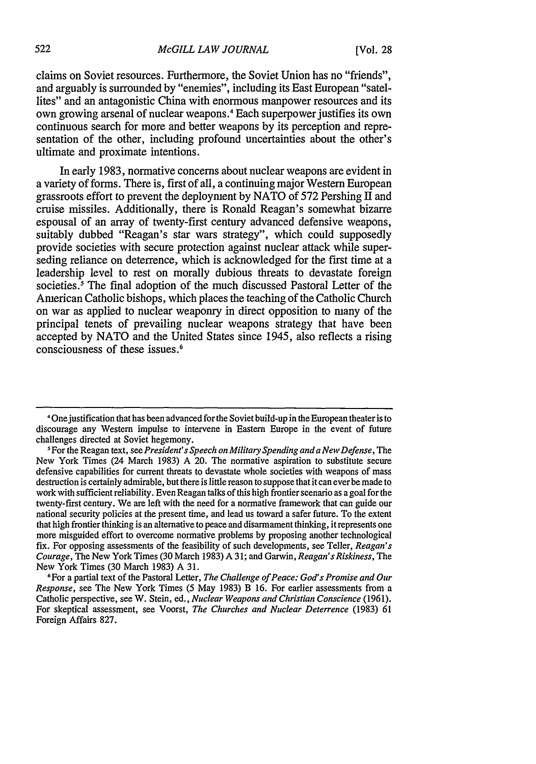claims on Soviet resources. Furthermore, the Soviet Union has no "friends", and arguably is surrounded **by** "enemies", including its East European "satellites" and an antagonistic China with enormous manpower resources and its own growing arsenal of nuclear weapons.4 Each superpower justifies its own continuous search for more and better weapons **by** its perception and representation of the other, including profound uncertainties about the other's ultimate and proximate intentions.

In early **1983,** normative concerns about nuclear weapons are evident in a variety of forms. There is, first of all, a continuing major Western European grassroots effort to prevent the deployment **by NATO** of **572** Pershing **II** and cruise missiles. Additionally, there is Ronald Reagan's somewhat bizarre espousal of an array of twenty-first century advanced defensive weapons, suitably dubbed "Reagan's star wars strategy", which could supposedly provide societies with secure protection against nuclear attack while superseding reliance on deterrence, which is acknowledged for the first time at a leadership level to rest on morally dubious threats to devastate foreign societies.<sup>5</sup> The final adoption of the much discussed Pastoral Letter of the American Catholic bishops, which places the teaching of the Catholic Church on war as applied to nuclear weaponry in direct opposition to many of the principal tenets of prevailing nuclear weapons strategy that have been accepted **by NATO** and the United States since 1945, also reflects a rising consciousness of these issues.<sup>6</sup>

For a partial text of the Pastoral Letter, *The Challenge of Peace: God's Promise and Our Response,* see The New York Times **(5** May **1983)** B **16.** For earlier assessments from a Catholic perspective, see W. Stein, ed., *Nuclear Weapons and Christian Conscience* **(1961).** For skeptical assessment, see Voorst, *The Churches and Nuclear Deterrence* **(1983) 61** Foreign Affairs **827.**

<sup>&</sup>lt;sup>4</sup> One justification that has been advanced for the Soviet build-up in the European theater is to discourage any Western impulse to intervene in Eastern Europe in the event of future challenges directed at Soviet hegemony. <sup>5</sup>

For the Reagan text, see *President's Speech on Military Spending and a New Defense,* The New York Times (24 March **1983) A** 20. The normative aspiration to substitute secure defensive capabilities for current threats to devastate whole societies with weapons of mass destruction is certainly admirable, but there is little reason to suppose that it can ever be made to work with sufficient reliability. Even Reagan talks of this high frontier scenario as a goal for the twenty-first century. We are left with the need for a normative framework that can guide our national security policies at the present time, and lead us toward a safer future. To the extent that high frontier thinking is an alternative to peace and disarmament thinking, it represents one more misguided effort to overcome normative problems **by** proposing another technological fix. For opposing assessments of the feasibility of such developments, see Teller, *Reagan's Courage,* The New York Times **(30** March **1983) A 31;** and Garwin, *Reagan's Riskiness,* The New York Times **(30** March **1983) A 31.** <sup>6</sup>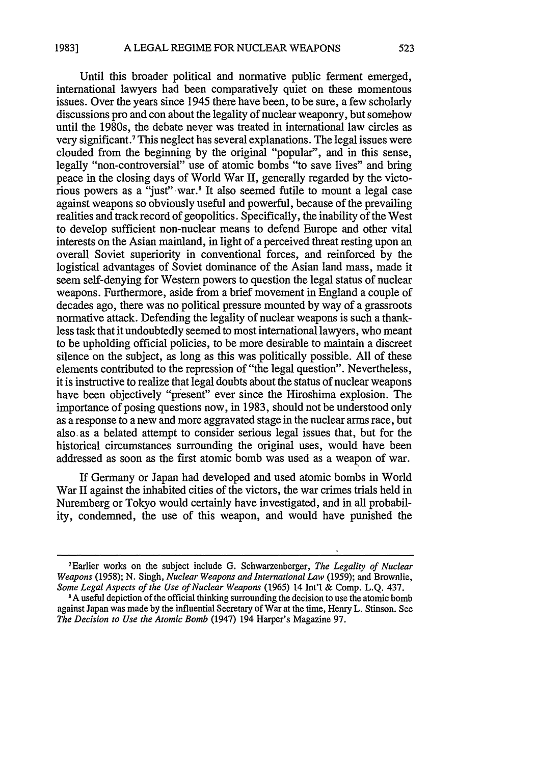Until this broader political and normative public ferment emerged, international lawyers had been comparatively quiet on these momentous issues. Over the years since 1945 there have been, to be sure, a few scholarly discussions pro and con about the legality of nuclear weaponry, but somehow until the 1980s, the debate never was treated in international law circles as very significant.' This neglect has several explanations. The legal issues were clouded from the beginning by the original "popular", and in this sense, legally "non-controversial" use of atomic bombs "to save lives" and bring peace in the closing days of World War II, generally regarded by the victorious powers as a "just" war.8 It also seemed futile to mount a legal case against weapons so obviously useful and powerful, because of the prevailing realities and track record of geopolitics. Specifically, the inability of the West to develop sufficient non-nuclear means to defend Europe and other vital interests on the Asian mainland, in light of a perceived threat resting upon an overall Soviet superiority in conventional forces, and reinforced by the logistical advantages of Soviet dominance of the Asian land mass, made it seem self-denying for Western powers to question the legal status of nuclear weapons. Furthermore, aside from a brief movement in England a couple of decades ago, there was no political pressure mounted by way of a grassroots normative attack. Defending the legality of nuclear weapons is such a thankless task that it undoubtedly seemed to most international lawyers, who meant to be upholding official policies, to be more desirable to maintain a discreet silence on the subject, as long as this was politically possible. All of these elements contributed to the repression of "the legal question". Nevertheless, it is instructive to realize that legal doubts about the status of nuclear weapons have been objectively "present" ever since the Hiroshima explosion. The importance of posing questions now, in 1983, should not be understood only as a response to a new and more aggravated stage in the nuclear arms race, but also. as a belated attempt to consider serious legal issues that, but for the historical circumstances surrounding the original uses, would have been addressed as soon as the first atomic bomb was used as a weapon of war.

If Germany or Japan had developed and used atomic bombs in World War II against the inhabited cities of the victors, the war crimes trials held in Nuremberg or Tokyo would certainly have investigated, and in all probability, condemned, the use of this weapon, and would have punished the

<sup>7</sup>Earlier works on the subject include **G.** Schwarzenberger, *The Legality of Nuclear Weapons (1958);* N. Singh, *Nuclear Weapons and International Law* (1959); and Brownlie, *Some Legal Aspects of the Use of Nuclear Weapons* (1965) 14 Int'l & Comp. L.Q. 437.

**<sup>8</sup> A** useful depiction of the official thinking surrounding the decision to use the atomic bomb against Japan was made by the influential Secretary of War at the time, Henry L. Stinson. See *The Decision to Use the Atomic Bomb* (1947) 194 Harper's Magazine 97.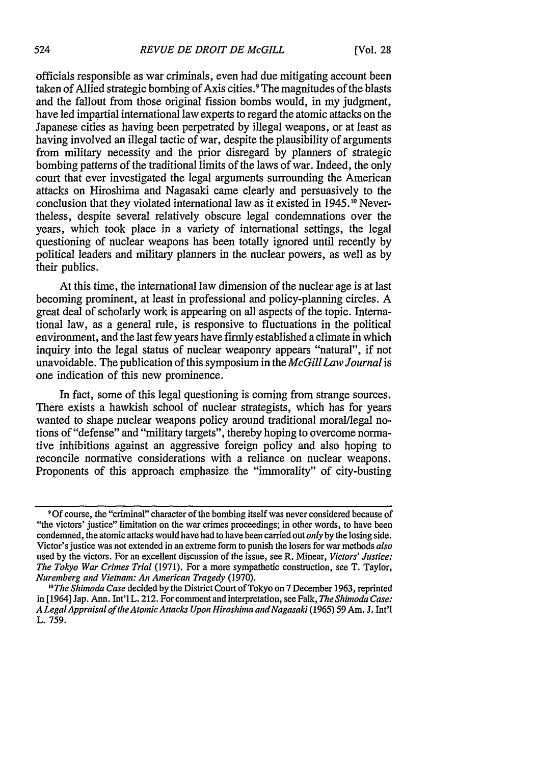officials responsible as war criminals, even had due mitigating account been taken of Allied strategic bombing of Axis cities. 9 The magnitudes of the blasts and the fallout from those original fission bombs would, in my judgment, have led impartial international law experts to regard the atomic attacks on the Japanese cities as having been perpetrated by illegal weapons, or at least as having involved an illegal tactic of war, despite the plausibility of arguments from military necessity and the prior disregard by planners of strategic bombing patterns of the traditional limits of the laws of war. Indeed, the only court that ever investigated the legal arguments surrounding the American attacks on Hiroshima and Nagasaki came clearly and persuasively to the conclusion that they violated international law as it existed in 1945.<sup>10</sup> Nevertheless, despite several relatively obscure legal condemnations over the years, which took place in a variety of international settings, the legal questioning of nuclear weapons has been totally ignored until recently by political leaders and military planners in the nuclear powers, as well as by their publics.

At this time, the international law dimension of the nuclear age is at last becoming prominent, at least in professional and policy-planning circles. A great deal of scholarly work is appearing on all aspects of the topic. International law, as a general rule, is responsive to fluctuations in the political environment, and the last few years have firmly established a climate in which inquiry into the legal status of nuclear weaponry appears "natural", if not unavoidable. The publication of this symposium in the *McGillLaw Journal* is one indication of this new prominence.

In fact, some of this legal questioning is coming from strange sources. There exists a hawkish school of nuclear strategists, which has for years wanted to shape nuclear weapons policy around traditional moral/legal notions of "defense" and "military targets", thereby hoping to overcome normative inhibitions against an aggressive foreign policy and also hoping to reconcile normative considerations with a reliance on nuclear weapons. Proponents of this approach emphasize the "immorality" of city-busting

**<sup>9</sup>** Of course, the "criminal" character of the bombing itself was never considered because of "the victors' justice" limitation on the war crimes proceedings; in other words, to have been condemned, the atomic attacks would have had to have been carried out *only* by the losing side. Victor's justice was not extended in an extreme form to punish the losers for war methods *also* used by the victors. For an excellent discussion of the issue, see R. Minear, *Victors' Justice: The Tokyo War Crimes Trial* (1971). For a more sympathetic construction, see T. Taylor, *Nuremberg and Vietnam: An American Tragedy* (1970).

*<sup>&</sup>quot;0The Shimoda Case* decided by the District Court of Tokyo on 7 December 1963, reprinted in [ 1964] Jap. Ann. Int'l L. 212. For comment and interpretation, see Falk, *The Shimoda Case: A Legal Appraisal of the Atomic Attacks Upon Hiroshima andNagasaki* (1965) 59 Am. J. Int'l L. 759.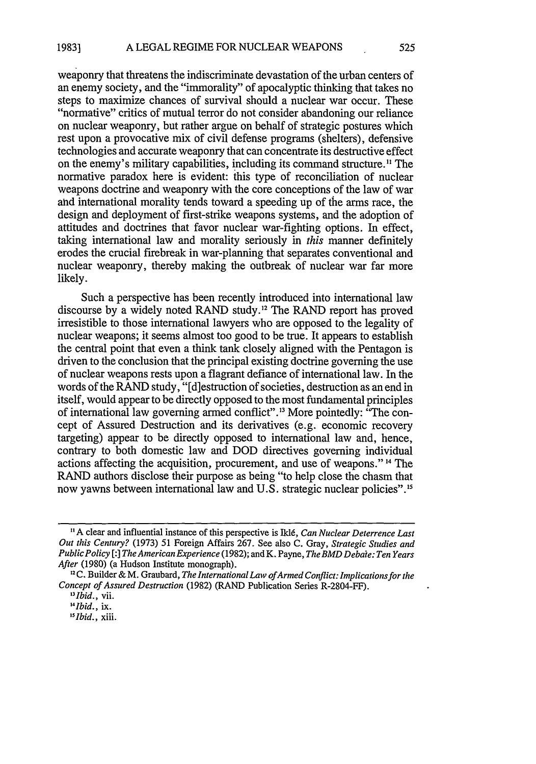weaponry that threatens the indiscriminate devastation of the urban centers of an enemy society, and the "immorality" of apocalyptic thinking that takes no steps to maximize chances of survival should a nuclear war occur. These "normative" critics of mutual terror do not consider abandoning our reliance on nuclear weaponry, but rather argue on behalf of strategic postures which rest upon a provocative mix of civil defense programs (shelters), defensive technologies and accurate weaponry that can concentrate its destructive effect on the enemy's military capabilities, including its command structure." The normative paradox here is evident: this type of reconciliation of nuclear weapons doctrine and weaponry with the core conceptions of the law of war and international morality tends toward a speeding up of the arms race, the design and deployment of first-strike weapons systems, and the adoption of attitudes and doctrines that favor nuclear war-fighting options. In effect, taking international law and morality seriously in *this* manner definitely erodes the crucial firebreak in war-planning that separates conventional and nuclear weaponry, thereby making the outbreak of nuclear war far more likely.

Such a perspective has been recently introduced into international law discourse by a widely noted RAND study.'2 The RAND report has proved irresistible to those international lawyers who are opposed to the legality of nuclear weapons; it seems almost too good to be true. It appears to establish the central point that even a think tank closely aligned with the Pentagon is driven to the conclusion that the principal existing doctrine governing the use of nuclear weapons rests upon a flagrant defiance of international law. In the words of the RAND study, "[d]estruction of societies, destruction as an end in itself, would appear to be directly opposed to the most fundamental principles of international law governing armed conflict".<sup>13</sup> More pointedly: "The concept of Assured Destruction and its derivatives (e.g. economic recovery targeting) appear to be directly opposed to international law and, hence, contrary to both domestic law and DOD directives governing individual actions affecting the acquisition, procurement, and use of weapons." '4 The RAND authors disclose their purpose as being "to help close the chasm that now yawns between international law and U.S. strategic nuclear policies".<sup>15</sup>

<sup>&</sup>lt;sup>11</sup> A clear and influential instance of this perspective is Iklé, *Can Nuclear Deterrence Last Out this Century?* (1973) 51 Foreign Affairs 267. See also C. Gray, *Strategic Studies and Public Policy* [:] *The American Experience* (1982); and K. Payne, *TheBMDDebaie: Ten Years After* (1980) (a Hudson Institute monograph).<br><sup>12</sup> C. Builder & M. Graubard, *The International Law of Armed Conflict: Implications for the* 

*Concept of Assured Destruction* (1982) (RAND Publication Series R-2804-FF).

*<sup>&</sup>quot;Ibid.,* vii.

*<sup>&</sup>quot;'Ibid.,* ix.

*<sup>&</sup>quot;Ibid.,* xiii.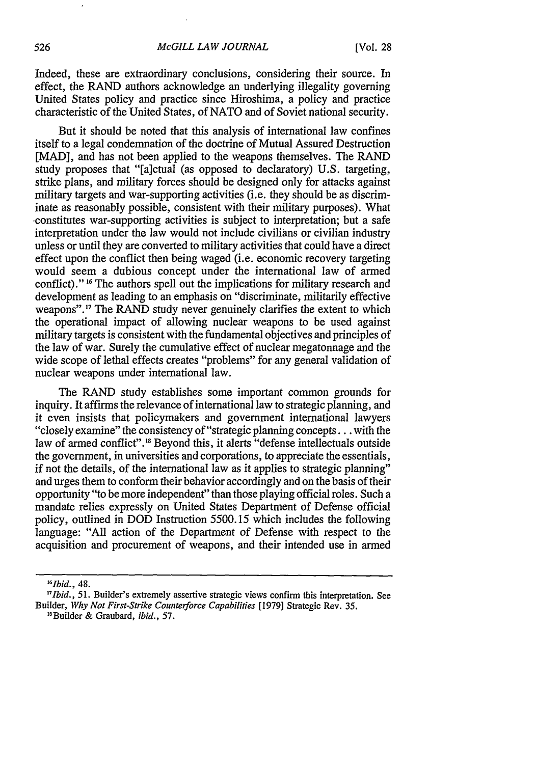### *McGILL LAW JOURNAL*

Indeed, these are extraordinary conclusions, considering their source. In effect, the RAND authors acknowledge an underlying illegality governing United States policy and practice since Hiroshima, a policy and practice characteristic of the United States, of NATO and of Soviet national security.

But it should be noted that this analysis of international law confines itself to a legal condemnation of the doctrine of Mutual Assured Destruction [MAD], and has not been applied to the weapons themselves. The RAND study proposes that "[a]ctual (as opposed to declaratory) U.S. targeting, strike plans, and military forces should be designed only for attacks against military targets and war-supporting activities (i.e. they should be as discriminate as reasonably possible, consistent with their military purposes). What -constitutes war-supporting activities is subject to interpretation; but a safe interpretation under the law would not include civilians or civilian industry unless or until they are converted to military activities that could have a direct effect upon the conflict then being waged (i.e. economic recovery targeting would seem a dubious concept under the international law of armed conflict)." **16** The authors spell out the implications for military research and development as leading to an emphasis on "discriminate, militarily effective weapons".<sup>17</sup> The RAND study never genuinely clarifies the extent to which the operational impact of allowing nuclear weapons to be used against military targets is consistent with the fundamental objectives and principles of the law of war. Surely the cumulative effect of nuclear megatonnage and the wide scope of lethal effects creates "problems" for any general validation of nuclear weapons under international law.

The RAND study establishes some important common grounds for inquiry. It affirms the relevance of international law to strategic planning, and it even insists that policymakers and government international lawyers "closely examine" the consistency of "strategic planning concepts **...** with the law of armed conflict".<sup>18</sup> Beyond this, it alerts "defense intellectuals outside the government, in universities and corporations, to appreciate the essentials, if not the details, of the international law as it applies to strategic planning" and urges them to conform their behavior accordingly and on the basis of their opportunity "to be more independent" than those playing official roles. Such a mandate relies expressly on United States Department of Defense official policy, outlined in DOD Instruction 5500.15 which includes the following language: "All action of the Department of Defense with respect to the acquisition and procurement of weapons, and their intended use in armed

<sup>18</sup> Builder & Graubard, ibid., 57.

 $\overline{\phantom{a}5}$ *Ibid.*, 48.

<sup>&</sup>quot;Ibid., 51. Builder's extremely assertive strategic views confirm this interpretation. See Builder, Why Not First-Strike Counterforce Capabilities [1979] Strategic Rev. 35.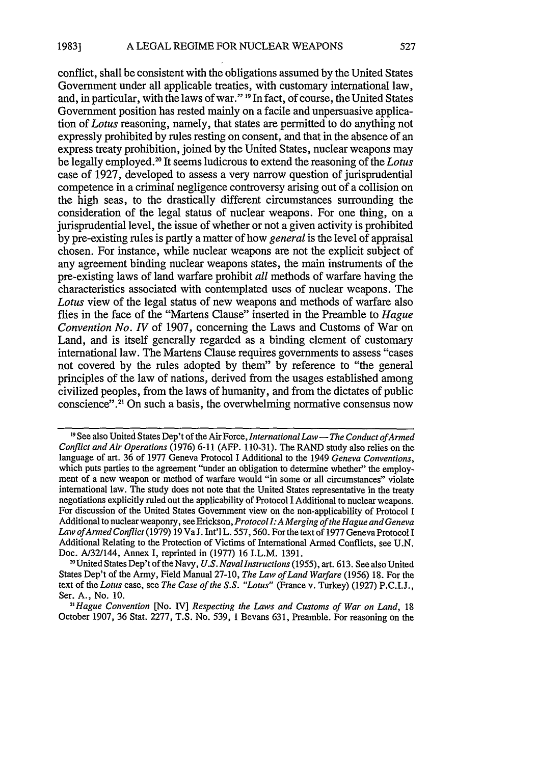conflict, shall be consistent with the obligations assumed by the United States Government under all applicable treaties, with customary international law, and, in particular, with the laws of war." <sup>19</sup> In fact, of course, the United States Government position has rested mainly on a facile and unpersuasive application of *Lotus* reasoning, namely, that states are permitted to do anything not expressly prohibited by rules resting on consent, and that in the absence of an express treaty prohibition, joined by the United States, nuclear weapons may be legally employed.'0 It seems ludicrous to extend the reasoning of the *Lotus* case of 1927, developed to assess a very narrow question of jurisprudential competence in a criminal negligence controversy arising out of a collision on the high seas, to the drastically different circumstances surrounding the consideration of the legal status of nuclear weapons. For one thing, on a jurisprudential level, the issue of whether or not a given activity is prohibited by pre-existing rules is partly a matter of how *general* is the level of appraisal chosen. For instance, while nuclear weapons are not the explicit subject of any agreement binding nuclear weapons states, the main instruments of the pre-existing laws of land warfare prohibit *all* methods of warfare having the characteristics associated with contemplated uses of nuclear weapons. The *Lotus* view of the legal status of new weapons and methods of warfare also flies in the face of the "Martens Clause" inserted in the Preamble to *Hague Convention No. IV* of 1907, concerning the Laws and Customs of War on Land, and is itself generally regarded as a binding element of customary international law. The Martens Clause requires governments to assess "cases not covered by the rules adopted by them" by reference to "the general principles of the law of nations, derived from the usages established among civilized peoples, from the laws of humanity, and from the dictates of public conscience".<sup>21</sup> On such a basis, the overwhelming normative consensus now

:0United States Dep't of the Navy, *U.S. Naval Instructions* (1955), art. 613. See also United States Dep't of the Army, Field Manual 27-10, *The Law of Land Warfare (1956)* 18. For the text of the *Lotus* case, see *The Case of the S.S. "Lotus"* (France v. Turkey) (1927) P.C.I.J., Ser. A., No. 10.

*21 Hague Convention* [No. IV] *Respecting the Laws and Customs of War on Land,* 18 October 1907, 36 Stat. 2277, T.S. No. 539, 1 Bevans 631, Preamble. For reasoning on the

<sup>&</sup>lt;sup>19</sup> See also United States Dep't of the Air Force, *International Law* - *The Conduct of Armed Conflict and Air Operations* (1976) 6-11 (AFP. 110-31). The RAND study also relies on the language of art. 36 of 1977 Geneva Protocol I Additional to the 1949 *Geneva Conventions,* which puts parties to the agreement "under an obligation to determine whether" the employment of a new weapon or method of warfare would "in some or all circumstances" violate international law. The study does not note that the United States representative in the treaty negotiations explicitly ruled out the applicability of Protocol I Additional to nuclear weapons. For discussion of the United States Government view on the non-applicability of Protocol I Additional to nuclear weaponry, see Erickson, *Protocoll:A Merging of the Hague and Geneva* Law of Armed Conflict (1979) 19 Va J. Int'l L. 557, 560. For the text of 1977 Geneva Protocol I Additional Relating to the Protection of Victims of International Armed Conflicts, see U.N. Doc. A/32/144, Annex I, reprinted in (1977) 16 I.L.M. 1391.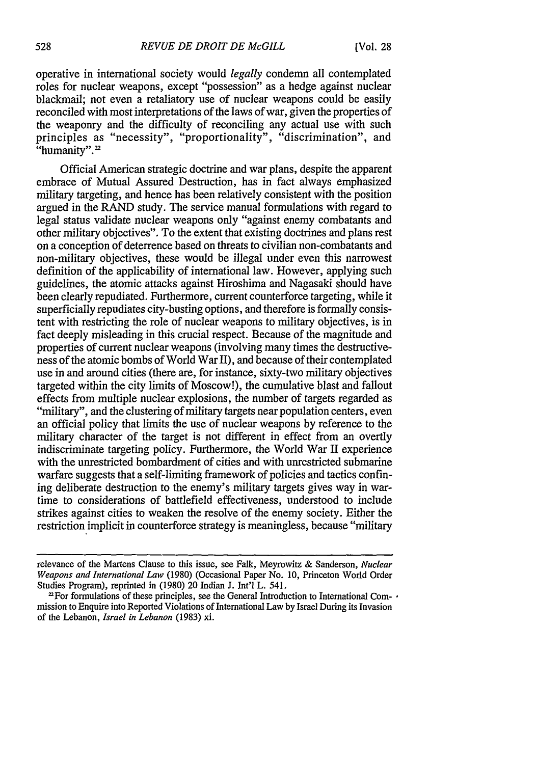operative in international society would *legally* condemn all contemplated roles for nuclear weapons, except "possession" as a hedge against nuclear blackmail; not even a retaliatory use of nuclear weapons could be easily reconciled with most interpretations of the laws of war, given the properties of the weaponry and the difficulty of reconciling any actual use with such principles as "necessity", "proportionality", "discrimination", and "humanity".<sup>22</sup>

Official American strategic doctrine and war plans, despite the apparent embrace of Mutual Assured Destruction, has in fact always emphasized military targeting, and hence has been relatively consistent with the position argued in the RAND study. The service manual formulations with regard to legal status validate nuclear weapons only "against enemy combatants and other military objectives". To the extent that existing doctrines and plans rest on a conception of deterrence based on threats to civilian non-combatants and non-military objectives, these would be illegal under even this narrowest definition of the applicability of international law. However, applying such guidelines, the atomic attacks against Hiroshima and Nagasaki should have been clearly repudiated. Furthermore, current counterforce targeting, while it superficially repudiates city-busting options, and therefore is formally consistent with restricting the role of nuclear weapons to military objectives, is in fact deeply misleading in this crucial respect. Because of the magnitude and properties of current nuclear weapons (involving many times the destructiveness of the atomic bombs of World War II), and because of their contemplated use in and around cities (there are, for instance, sixty-two military objectives targeted within the city limits of Moscow!), the cumulative blast and fallout effects from multiple nuclear explosions, the number of targets regarded as "military", and the clustering of military targets near population centers, even an official policy that limits the use of nuclear weapons by reference to the military character of the target is not different in effect from an overtly indiscriminate targeting policy. Furthermore, the World War II experience with the unrestricted bombardment of cities and with unrestricted submarine warfare suggests that a self-limiting framework of policies and tactics confining deliberate destruction to the enemy's military targets gives way in wartime to considerations of battlefield effectiveness, understood to include strikes against cities to weaken the resolve of the enemy society. Either the restriction implicit in counterforce strategy is meaningless, because "military

relevance of the Martens Clause to this issue, see Falk, Meyrowitz & Sanderson, *Nuclear Weapons and International Law* (1980) (Occasional Paper No. 10, Princeton World Order Studies Program), reprinted in (1980) 20 Indian J. Int'l L. 541.

 $2$  For formulations of these principles, see the General Introduction to International Com- $\cdot$ mission to Enquire into Reported Violations of International Law by Israel During its Invasion of the Lebanon, *Israel in Lebanon* (1983) xi.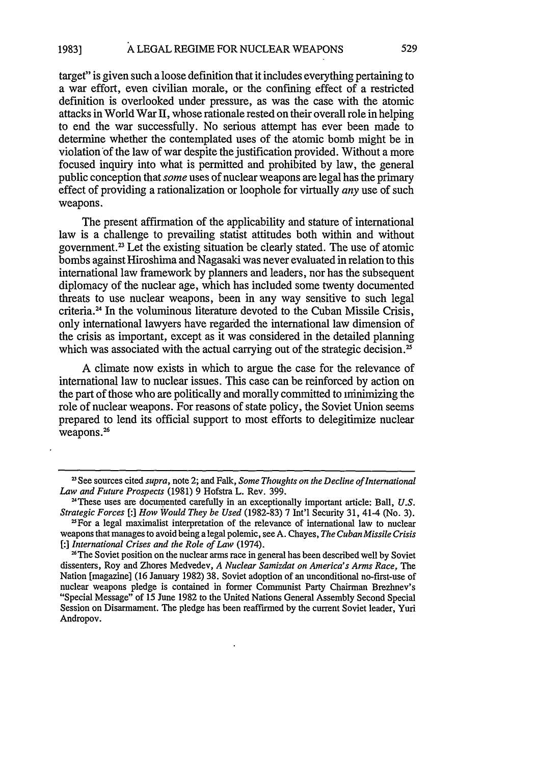target" is given such a loose definition that it includes everything pertaining to a war effort, even civilian morale, or the confining effect of a restricted definition is overlooked under pressure, as was the case with the atomic attacks in World War II, whose rationale rested on their overall role in helping to end the war successfully. No serious attempt has ever been made to determine whether the contemplated uses of the atomic bomb might be in violation **bf** the law of war despite the justification provided. Without a more focused inquiry into what is permitted and prohibited by law, the general public conception that *some* uses of nuclear weapons are legal has the primary effect of providing a rationalization or loophole for virtually *any* use of such weapons.

The present affirmation of the applicability and stature of international law is a challenge to prevailing statist attitudes both within and without government.<sup>23</sup> Let the existing situation be clearly stated. The use of atomic bombs against Hiroshima and Nagasaki was never evaluated in relation to this international law framework by planners and leaders, nor has the subsequent diplomacy of the nuclear age, which has included some twenty documented threats to use nuclear weapons, been in any way sensitive to such legal criteria. 4 In the voluminous literature devoted to the Cuban Missile Crisis, only international lawyers have regarded the international law dimension of the crisis as important, except as it was considered in the detailed planning which was associated with the actual carrying out of the strategic decision.<sup>25</sup>

A climate now exists in which to argue the case for the relevance of international law to nuclear issues. This case can be reinforced by action on the part of those who are politically and morally committed to minimizing the role of nuclear weapons. For reasons of state policy, the Soviet Union seems prepared to lend its official support to most efforts to delegitimize nuclear weapons.<sup>26</sup>

**<sup>3</sup>** See sources cited *supra,* note 2; and Falk, *Some Thoughts on the Decline of International Law and Future Prospects* (1981) 9 Hofstra L. Rev. 399.

<sup>&#</sup>x27;These uses are documented carefully in an exceptionally important article: Ball, *U.S. Strategic Forces* [:] *How Would They be Used* (1982-83) 7 Int'l Security 31, 41-4 (No. 3).

<sup>&</sup>lt;sup>25</sup>For a legal maximalist interpretation of the relevance of international law to nuclear weapons that manages to avoid being a legal polemic, see A. Chayes, *The Cuban Missile Crisis* [:] *International Crises and the Role of Law* (1974).

<sup>&</sup>lt;sup>26</sup>The Soviet position on the nuclear arms race in general has been described well by Soviet dissenters, Roy and Zhores Medvedev, *A Nuclear Samizdat on America's Arms Race,* The Nation [magazine] (16 January 1982) 38. Soviet adoption of an unconditional no-first-use of nuclear weapons pledge is contained in former Communist Party Chairman Brezhnev's "Special Message" of 15 June 1982 to the United Nations General Assembly Second Special Session on Disarmament. The pledge has been reaffirmed by the current Soviet leader, Yuri Andropov.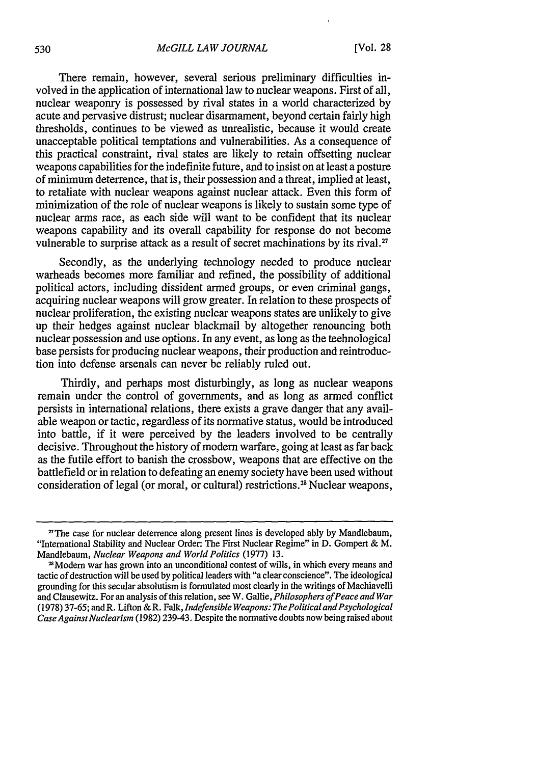There remain, however, several serious preliminary difficulties involved in the application of international law to nuclear weapons. First of all, nuclear weaponry is possessed by rival states in a world characterized by acute and pervasive distrust; nuclear disarmament, beyond certain fairly high thresholds, continues to be viewed as unrealistic, because it would create unacceptable political temptations and vulnerabilities. As a consequence of this practical constraint, rival states are likely to retain offsetting nuclear weapons capabilities for the indefinite future, and to insist on at least a posture of minimum deterrence, that is, their possession and a threat, implied at least, to retaliate with nuclear weapons against nuclear attack. Even this form of minimization of the role of nuclear weapons is likely to sustain some type of nuclear arms race, as each side will want to be confident that its nuclear weapons capability and its overall capability for response do not become vulnerable to surprise attack as a result of secret machinations by its rival.<sup>27</sup>

Secondly, as the underlying technology needed to produce nuclear warheads becomes more familiar and refined, the possibility of additional political actors, including dissident armed groups, or even criminal gangs, acquiring nuclear weapons will grow greater. In relation to these prospects of nuclear proliferation, the existing nuclear weapons states are unlikely to give up their hedges against nuclear blackmail by altogether renouncing both nuclear possession and use options. In any event, as long as the technological base persists for producing nuclear weapons, their production and reintroduction into defense arsenals can never be reliably ruled out.

Thirdly, and perhaps most disturbingly, as long as nuclear weapons remain under the control of governments, and as long as armed conflict persists in international relations, there exists a grave danger that any available weapon or tactic, regardless of its normative status, would be introduced into battle, if it were perceived by the leaders involved to be centrally decisive. Throughout the history of modern warfare, going at least as far back as the futile effort to banish the crossbow, weapons that are effective on the battlefield or in relation to defeating an enemy society have been used without consideration of legal (or moral, or cultural) restrictions." Nuclear weapons,

<sup>&</sup>lt;sup>27</sup>The case for nuclear deterrence along present lines is developed ably by Mandlebaum, "International Stability and Nuclear Order: The First Nuclear Regime" in D. Gompert & M. Mandlebaum, *Nuclear Weapons and World Politics* (1977) 13.

<sup>&</sup>lt;sup>28</sup> Modern war has grown into an unconditional contest of wills, in which every means and tactic of destruction will be used by political leaders with "a clear conscience". The ideological grounding for this secular absolutism is formulated most clearly in the writings of Machiavelli and Clausewitz. For an analysis of this relation, see W. Gallie, *Philosophers of Peace and War* (1978) 37-65; and R. Lifton & R. Falk, *Indefensible Weapons: The Political andPsychological Case Against Nuclearism* (1982) 23943. Despite the normative doubts now being raised about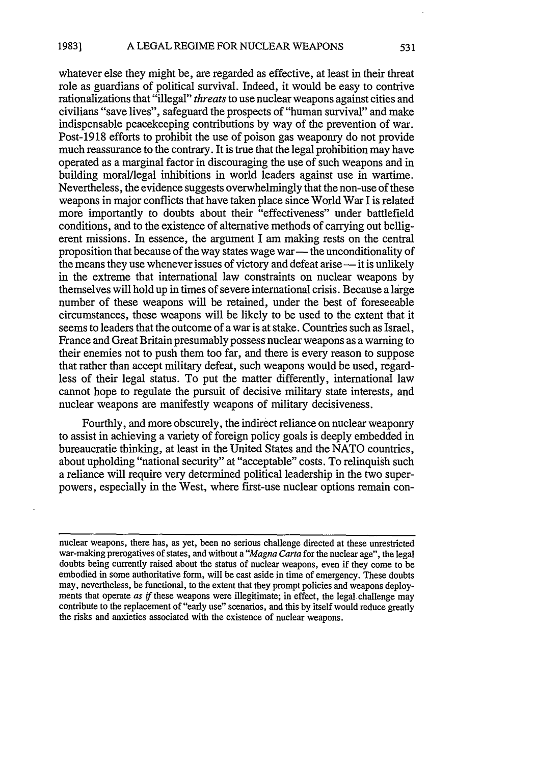whatever else they might be, are regarded as effective, at least in their threat role as guardians of political survival. Indeed, it would be easy to contrive rationalizations that "illegal" *threats* to use nuclear weapons against cities and civilians "save lives", safeguard the prospects of "human survival" and make indispensable peacekeeping contributions by way of the prevention of war. Post-1918 efforts to prohibit the use of poison gas weaponry do not provide much reassurance to the contrary. It is true that the legal prohibition may have operated as a marginal factor in discouraging the use of such weapons and in building moral/legal inhibitions in world leaders against use in wartime. Nevertheless, the evidence suggests overwhelmingly that the non-use of these weapons in major conflicts that have taken place since World War I is related more importantly to doubts about their "effectiveness" under battlefield conditions, and to the existence of alternative methods of carrying out belligerent missions. In essence, the argument I am making rests on the central proposition that because of the way states wage war- the unconditionality of the means they use whenever issues of victory and defeat arise **-** it is unlikely in the extreme that international law constraints on nuclear weapons by themselves will hold up in times of severe international crisis. Because a large number of these weapons will be retained, under the best of foreseeable circumstances, these weapons will be likely to be used to the extent that it seems to leaders that the outcome of a war is at stake. Countries such as Israel, France and Great Britain presumably possess nuclear weapons as a warning to their enemies not to push them too far, and there is every reason to suppose that rather than accept military defeat, such weapons would be used, regardless of their legal status. To put the matter differently, international law cannot hope to regulate the pursuit of decisive military state interests, and nuclear weapons are manifestly weapons of military decisiveness.

Fourthly, and more obscurely, the indirect reliance on nuclear weaponry to assist in achieving a variety of foreign policy goals is deeply embedded in bureaucratic thinking, at least in the United States and the NATO countries, about upholding "national security" at "acceptable" costs. To relinquish such a reliance will require very determined political leadership in the two superpowers, especially in the West, where first-use nuclear options remain con-

nuclear weapons, there has, as yet, been no serious challenge directed at these unrestricted war-making prerogatives of states, and without a *"Magna Carta* for the nuclear age", the legal doubts being currently raised about the status of nuclear weapons, even if they come to be embodied in some authoritative form, will be cast aside in time of emergency. These doubts may, nevertheless, be functional, to the extent that they prompt policies and weapons deployments that operate *as if* these weapons were illegitimate; in effect, the legal challenge may contribute to the replacement of "early use" scenarios, and this by itself would reduce greatly the risks and anxieties associated with the existence of nuclear weapons.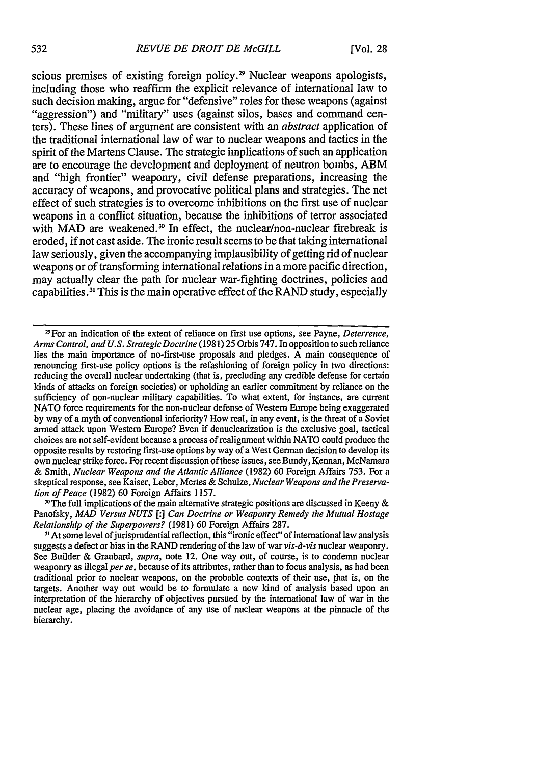scious premises of existing foreign policy.<sup>29</sup> Nuclear weapons apologists, including those who reaffirm the explicit relevance of international law to such decision making, argue for "defensive" roles for these weapons (against "aggression") and "military" uses (against silos, bases and command centers). These lines of argument are consistent with an *abstract* application of the traditional international law of war to nuclear weapons and tactics in the spirit of the Martens Clause. The strategic implications of such an application are to encourage the development and deployment of neutron bombs, ABM and "high frontier" weaponry, civil defense preparations, increasing the accuracy of weapons, and provocative political plans and strategies. The net effect of such strategies is to overcome inhibitions on the first use of nuclear weapons in a conflict situation, because the inhibitions of terror associated with MAD are weakened.<sup>30</sup> In effect, the nuclear/non-nuclear firebreak is eroded, if not cast aside. The ironic result seems to be that taking international law seriously, given the accompanying implausibility of getting rid of nuclear weapons or of transforming international relations in a more pacific direction, may actually clear the path for nuclear war-fighting doctrines, policies and capabilities.<sup>31</sup> This is the main operative effect of the RAND study, especially

<sup>30</sup> The full implications of the main alternative strategic positions are discussed in Keeny  $\&$ Panofsky, *MAD Versus NUTS [:] Can Doctrine or Weaponry Remedy the Mutual Hostage Relationship of the Superpowers?* (1981) 60 Foreign Affairs 287.

<sup>31</sup> At some level of jurisprudential reflection, this "ironic effect" of international law analysis suggests a defect or bias in the RAND rendering of the law of war *vis-d-vis* nuclear weaponry. See Builder & Graubard, *supra,* note 12. One way out, of course, is to condemn nuclear weaponry as illegal *per se,* because of its attributes, rather than to focus analysis, as had been traditional prior to nuclear weapons, on the probable contexts of their use, that is, on the targets. Another way out would be to formulate a new kind of analysis based upon an interpretation of the hierarchy of objectives pursued by the international law of war in the nuclear age, placing the avoidance of any use of nuclear weapons at the pinnacle of the hierarchy.

<sup>2&#</sup>x27;For an indication of the extent of reliance on first use options, see Payne, *Deterrence, Arms Control, and U.S. StrategicDoctrine* (1981) 25 Orbis 747. In opposition to such reliance lies the main importance of no-first-use proposals and pledges. A main consequence of renouncing first-use policy options is the refashioning of foreign policy in two directions: reducing the overall nuclear undertaking (that is, precluding any credible defense for certain kinds of attacks on foreign societies) or upholding an earlier commitment by reliance on the sufficiency of non-nuclear military capabilities. To what extent, for instance, are current NATO force requirements for the non-nuclear defense of Western Europe being exaggerated by way of a myth of conventional inferiority? How real, in any event, is the threat of a Soviet armed attack upon Western Europe? Even if denuclearization is the exclusive goal, tactical choices are not self-evident because a process of realignment within NATO could produce the opposite results by restoring first-use options by way of a West German decision to develop its own nuclear strike force. For recent discussion of these issues, see Bundy, Kennan, McNamara & *Smith, Nuclear Weapons and the Atlantic Alliance* (1982) 60 Foreign Affairs 753. For a skeptical response, see Kaiser, Leber, Mertes & Schulze, *Nuclear Weapons and the Preservation of Peace* (1982) 60 Foreign Affairs 1157.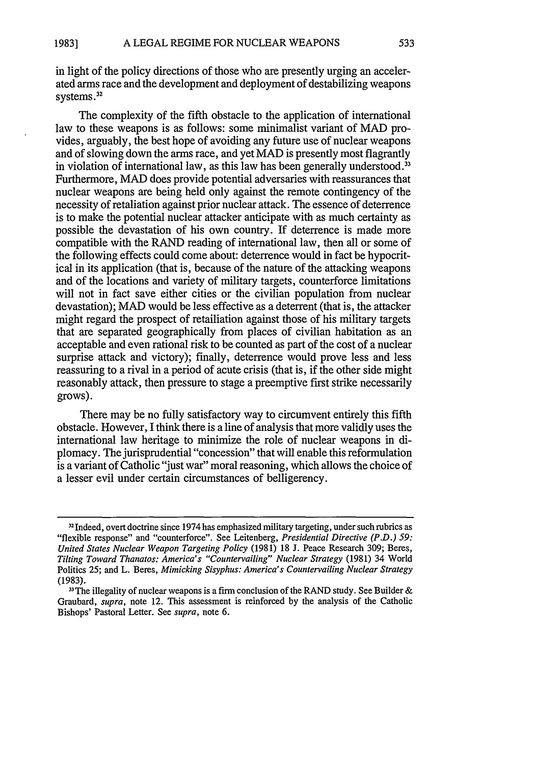in light of the policy directions of those who are presently urging an accelerated arms race and the development and deployment of destabilizing weapons systems **.32**

The complexity of the fifth obstacle to the application of international law to these weapons is as follows: some minimalist variant of MAD provides, arguably, the best hope of avoiding any future use of nuclear weapons and of slowing down the arms race, and yet MAD is presently most flagrantly in violation of international law, as this law has been generally understood.<sup>33</sup> Furthermore, MAD does provide potential adversaries with reassurances that nuclear weapons are being held only against the remote contingency of the necessity of retaliation against prior nuclear attack. The essence of deterrence is to make the potential nuclear attacker anticipate with as much certainty as possible the devastation of his own country. If deterrence is made more compatible with the RAND reading of international law, then all or some of the following effects could come about: deterrence would in fact be hypocritical in its application (that is, because of the nature of the attacking weapons and of the locations and variety of military targets, counterforce limitations will not in fact save either cities or the civilian population from nuclear devastation); MAD would be less effective as a deterrent (that is, the attacker might regard the prospect of retailiation against those of his military targets that are separated geographically from places of civilian habitation as an acceptable and even rational risk to be counted as part of the cost of a nuclear surprise attack and victory); finally, deterrence would prove less and less reassuring to a rival in a period of acute crisis (that is, if the other side might reasonably attack, then pressure to stage a preemptive first strike necessarily grows).

There may be no fully satisfactory way to circumvent entirely this fifth obstacle. However, I think there is a line of analysis that more validly uses the international law heritage to minimize the role of nuclear weapons in diplomacy. The jurisprudential "concession" that will enable this reformulation is a variant of Catholic "just war" moral reasoning, which allows the choice of a lesser evil under certain circumstances of belligerency.

**<sup>32</sup>**Indeed, overt doctrine since 1974 has emphasized military targeting, under such rubrics as "flexible response" and "counterforce". See Leitenberg, *Presidential Directive (P.D.) 59: United States Nuclear Weapon Targeting Policy* (1981) 18 J. Peace Research 309; Beres, *Tilting Toward Thanatos: America's "Countervailing" Nuclear Strategy* (1981) 34 World Politics **25;** and L. Beres, *Mimicking Sisyphus: America's Countervailing Nuclear Strategy* (1983).

 $\mu$  The illegality of nuclear weapons is a firm conclusion of the RAND study. See Builder & Graubard, *supra,* note 12. This assessment is reinforced by the analysis of the Catholic Bishops' Pastoral Letter. See *supra,* note 6.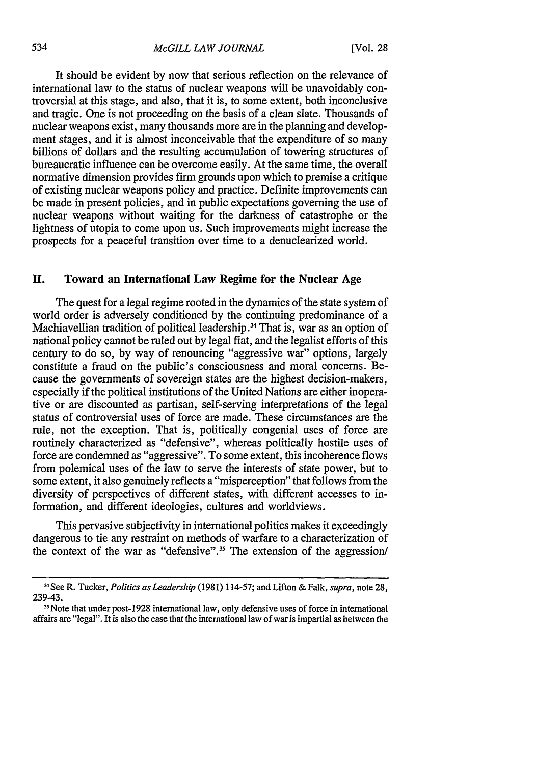It should be evident by now that serious reflection on the relevance of international law to the status of nuclear weapons will be unavoidably controversial at this stage, and also, that it is, to some extent, both inconclusive and tragic. One is not proceeding on the basis of a clean slate. Thousands of nuclear weapons exist, many thousands more are in the planning and development stages, and it is almost inconceivable that the expenditure of so many billions of dollars and the resulting accumulation of towering structures of bureaucratic influence can be overcome easily. At the same time, the overall normative dimension provides firm grounds upon which to premise a critique of existing nuclear weapons policy and practice. Definite improvements can be made in present policies, and in public expectations governing the use of nuclear weapons without waiting for the darkness of catastrophe or the lightness of utopia to come upon us. Such improvements might increase the prospects for a peaceful transition over time to a denuclearized world.

### **I.** Toward an International Law Regime for the Nuclear Age

The quest for a legal regime rooted in the dynamics of the state system of world order is adversely conditioned by the continuing predominance of a Machiavellian tradition of political leadership.<sup>34</sup> That is, war as an option of national policy cannot be ruled out by legal fiat, and the legalist efforts of this century to do so, by way of renouncing "aggressive war" options, largely constitute a fraud on the public's consciousness and moral concerns. Because the governments of sovereign states are the highest decision-makers, especially if the political institutions of the United Nations are either inoperative or are discounted as partisan, self-serving interpretations of the legal status of controversial uses of force are made. These circumstances are the rule, not the exception. That is, politically congenial uses of force are routinely characterized as "defensive", whereas politically hostile uses of force are condemned as "aggressive". To some extent, this incoherence flows from polemical uses of the law to serve the interests of state power, but to some extent, it also genuinely reflects a "misperception" that follows from the diversity of perspectives of different states, with different accesses to information, and different ideologies, cultures and worldviews.

This pervasive subjectivity in international politics makes it exceedingly dangerous to tie any restraint on methods of warfare to a characterization of the context of the war as "defensive". 35 The extension of the aggression/

**<sup>11</sup>See** R. Tucker, *Politics as Leadership* (1981) 114-57; and Lifton & Falk, *supra,* note 28, 239-43.

<sup>&</sup>lt;sup>35</sup>Note that under post-1928 international law, only defensive uses of force in international affairs are "legal". It is also the case that the international law of war is impartial as between the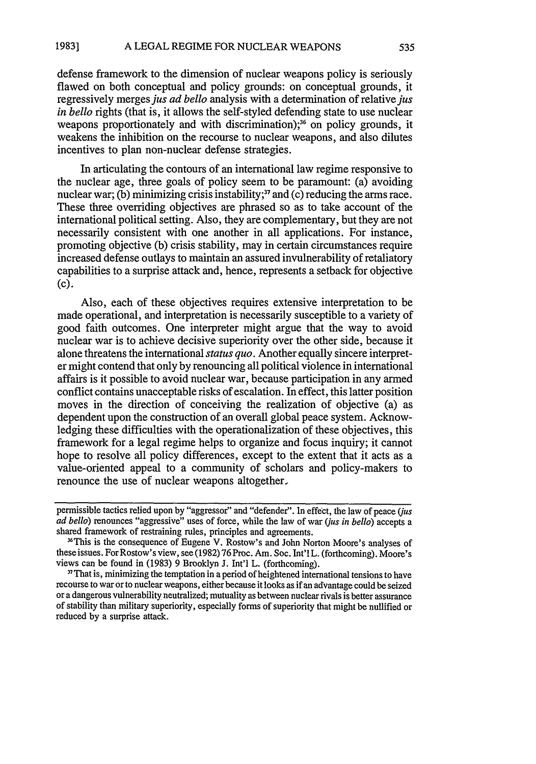defense framework to the dimension of nuclear weapons policy is seriously flawed on both conceptual and policy grounds: on conceptual grounds, it regressively merges *jus ad bello* analysis with a determination of relative *jus in bello* rights (that is, it allows the self-styled defending state to use nuclear weapons proportionately and with discrimination); $36$  on policy grounds, it weakens the inhibition on the recourse to nuclear weapons, and also dilutes incentives to plan non-nuclear defense strategies.

In articulating the contours of an international law regime responsive to the nuclear age, three goals of policy seem to be paramount:  $(a)$  avoiding nuclear war; (b) minimizing crisis instability;<sup>37</sup> and (c) reducing the arms race. These three overriding objectives are phrased so as to take account of the international political setting. Also, they are complementary, but they are not necessarily consistent with one another in all applications. For instance, promoting objective (b) crisis stability, may in certain circumstances require increased defense outlays to maintain an assured invulnerability of retaliatory capabilities to a surprise attack and, hence, represents a setback for objective (c).

Also, each of these objectives requires extensive interpretation to be made operational, and interpretation is necessarily susceptible to a variety of good faith outcomes. One interpreter might argue that the way to avoid nuclear war is to achieve decisive superiority over the other side, because it alone threatens the international *status quo.* Another equally sincere interpreter might contend that only by renouncing all political violence in international affairs is it possible to avoid nuclear war, because participation in any armed conflict contains unacceptable risks of escalation. In effect, this latter position moves in the direction of conceiving the realization of objective (a) as dependent upon the construction of an overall global peace system. Acknowledging these difficulties with the operationalization of these objectives, this framework for a legal regime helps to organize and focus inquiry; it cannot hope to resolve all policy differences, except to the extent that it acts as a value-oriented appeal to a community of scholars and policy-makers to renounce the use of nuclear weapons altogether.

<sup>37</sup> That is, minimizing the temptation in a period of heightened international tensions to have recourse to war or to nuclear weapons, either because it looks as if an advantage could be seized or a dangerous vulnerability neutralized; mutuality as between nuclear rivals is better assurance of stability than military superiority, especially forms of superiority that might be nullified or reduced by a surprise attack.

permissible tactics relied upon by "aggressor" and "defender". In effect, the law of peace *(jus ad bello)* renounces "aggressive" uses of force, while the law of war *(jus in bello)* accepts a shared framework of restraining rules, principles and agreements.

<sup>&</sup>lt;sup>36</sup>This is the consequence of Eugene V. Rostow's and John Norton Moore's analyses of these issues. ForRostow's view, see (1982) 76 Proc. Am. Soc. Int'l L. (forthcoming). Moore's views can be found in (1983) 9 Brooklyn J. Int'l L. (forthcoming).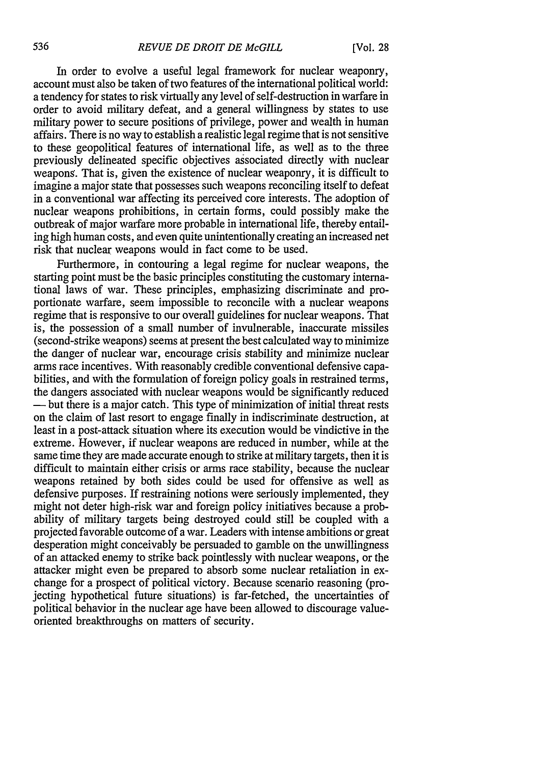In order to evolve a useful legal framework for nuclear weaponry, account must also be taken of two features of the international political world: a tendency for states to risk virtually any level of self-destruction in warfare in order to avoid military defeat, and a general willingness by states to use military power to secure positions of privilege, power and wealth in human affairs. There is no way to establish a realistic legal regime that is not sensitive to these geopolitical features of international life, as well as to the three previously delineated specific objectives associated directly with nuclear weapong. That is, given the existence of nuclear weaponry, it is difficult to imagine a major state that possesses such weapons reconciling itself to defeat in a conventional war affecting its perceived core interests. The adoption of nuclear weapons prohibitions, in certain forms, could possibly make the outbreak of major warfare more probable in international life, thereby entailing high human costs, and even quite unintentionally creating an increased net risk that nuclear weapons would in fact come to be used.

Furthermore, in contouring a legal regime for nuclear weapons, the starting point must be the basic principles constituting the customary international laws of war. These principles, emphasizing discriminate and proportionate warfare, seem impossible to reconcile with a nuclear weapons regime that is responsive to our overall guidelines for nuclear weapons. That is, the possession of a small number of invulnerable, inaccurate missiles (second-strike weapons) seems at present the best calculated way to minimize the danger of nuclear war, encourage crisis stability and minimize nuclear arms race incentives. With reasonably credible conventional defensive capabilities, and with the formulation of foreign policy goals in restrained terms, the dangers associated with nuclear weapons would be significantly reduced **-** but there is a major catch. This type of minimization of initial threat rests on the claim of last resort to engage finally in indiscriminate destruction, at least in a post-attack situation where its execution would be vindictive in the extreme. However, if nuclear weapons are reduced in number, while at the same time they are made accurate enough to strike at military targets, then it is difficult to maintain either crisis or arms race stability, because the nuclear weapons retained by both sides could be used for offensive as well as defensive purposes. If restraining notions were seriously implemented, they might not deter high-risk war and foreign policy initiatives because a probability of military targets being destroyed could still be coupled with a projected favorable outcome of a war. Leaders with intense ambitions or great desperation might conceivably be persuaded to gamble on the unwillingness of an attacked enemy to strike back pointlessly with nuclear weapons, or the attacker might even be prepared to absorb some nuclear retaliation in exchange for a prospect of political victory. Because scenario reasoning (projecting hypothetical future situations) is far-fetched, the uncertainties of political behavior in the nuclear age have been allowed to discourage valueoriented breakthroughs on matters of security.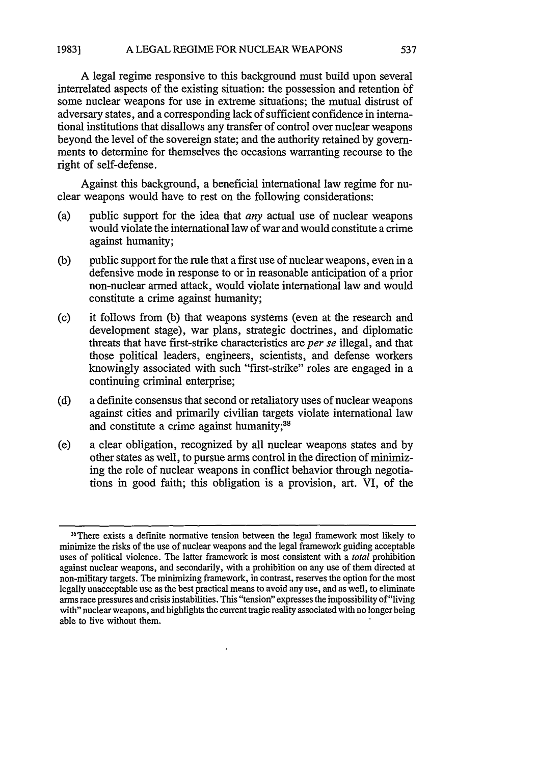A legal regime responsive to this background must build upon several interrelated aspects of the existing situation: the possession and retention of some nuclear weapons for use in extreme situations; the mutual distrust of adversary states, and a corresponding lack of sufficient confidence in international institutions that disallows any transfer of control over nuclear weapons beyond the level of the sovereign state; and the authority retained by governments to determine for themselves the occasions warranting recourse to the right of self-defense.

Against this background, a beneficial international law regime for nuclear weapons would have to rest on the following considerations:

- (a) public support for the idea that *any* actual use of nuclear weapons would violate the international law of war and would constitute a crime against humanity;
- (b) public support for the rule that a first use of nuclear weapons, even in a defensive mode in response to or in reasonable anticipation of a prior non-nuclear armed attack, would violate international law and would constitute a crime against humanity;
- (c) it follows from (b) that weapons systems (even at the research and development stage), war plans, strategic doctrines, and diplomatic threats that have first-strike characteristics are *per se* illegal, and that those political leaders, engineers, scientists, and defense workers knowingly associated with such "first-strike" roles are engaged in a continuing criminal enterprise;
- (d) a definite consensus that second or retaliatory uses of nuclear weapons against cities and primarily civilian targets violate international law and constitute a crime against humanity;<sup>38</sup>
- (e) a clear obligation, recognized by all nuclear weapons states and by other states as well, to pursue arms control in the direction of minimizing the role of nuclear weapons in conflict behavior through negotiations in good faith; this obligation is a provision, art. VI, of the

<sup>&</sup>lt;sup>38</sup> There exists a definite normative tension between the legal framework most likely to minimize the risks of the use of nuclear weapons and the legal framework guiding acceptable uses of political violence. The latter framework is most consistent with a total prohibition against nuclear weapons, and secondarily, with a prohibition on any use of them directed at non-military targets. The minimizing framework, in contrast, reserves the option for the most legally unacceptable use as the best practical means to avoid any use, and as well, to eliminate arms race pressures and crisis instabilities. This "tension" expresses the impossibility of "living with" nuclear weapons, and highlights the current tragic reality associated with no longer being able to live without them.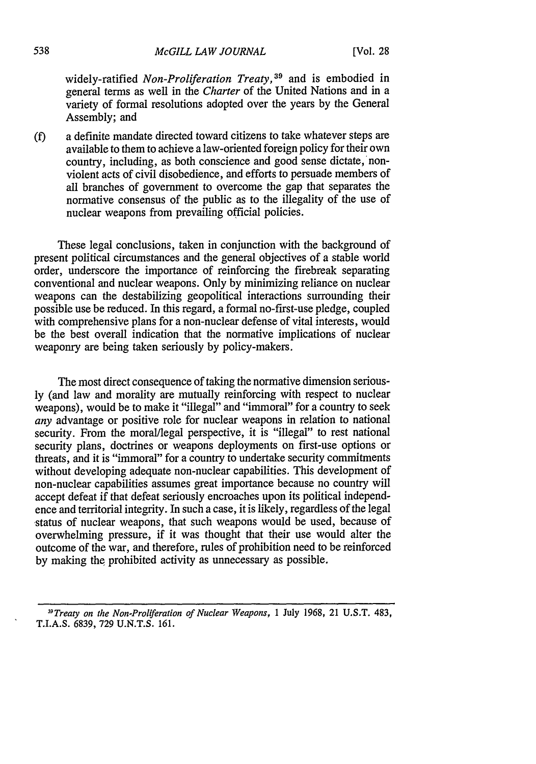widely-ratified *Non-Proliferation Treaty,<sup>39</sup>*and is embodied in general terms as well in the *Charter* of the United Nations and in a variety of formal resolutions adopted over the years by the General Assembly; and

(f) a definite mandate directed toward citizens to take whatever steps are available to them to achieve a law-oriented foreign policy for their own country, including, as both conscience and good sense dictate, nonviolent acts of civil disobedience, and efforts to persuade members of all branches of government to overcome the gap that separates the normative consensus of the public as to the illegality of the use of nuclear weapons from prevailing official policies.

These legal conclusions, taken in conjunction with the background of present political circumstances and the general objectives of a stable world order, underscore the importance of reinforcing the firebreak separating conventional and nuclear weapons. Only by minimizing reliance on nuclear weapons can the destabilizing geopolitical interactions surrounding their possible use be reduced. In this regard, a formal no-first-use pledge, coupled with comprehensive plans for a non-nuclear defense of vital interests, would be the best overall indication that the normative implications of nuclear weaponry are being taken seriously by policy-makers.

The most direct consequence of taking the normative dimension seriously (and law and morality are mutually reinforcing with respect to nuclear weapons), would be to make it "illegal" and "immoral" for a country to seek *any* advantage or positive role for nuclear weapons in relation to national security. From the moral/legal perspective, it is "illegal" to rest national security plans, doctrines or weapons deployments on first-use options or threats, and it is "immoral" for a country to undertake security commitments without developing adequate non-nuclear capabilities. This development of non-nuclear capabilities assumes great importance because no country will accept defeat if that defeat seriously encroaches upon its political independence and territorial integrity. In such a case, it is likely, regardless of the legal status of nuclear weapons, that such weapons would be used, because of overwhelming pressure, if it was thought that their use would alter the outcome of the war, and therefore, rules of prohibition need to be reinforced by making the prohibited activity as unnecessary as possible.

*<sup>&</sup>quot;Treaty on the Non-Proliferation of Nuclear Weapons,* 1 July 1968, 21 U.S.T. 483, T.I.A.S. 6839, 729 U.N.T.S. 161.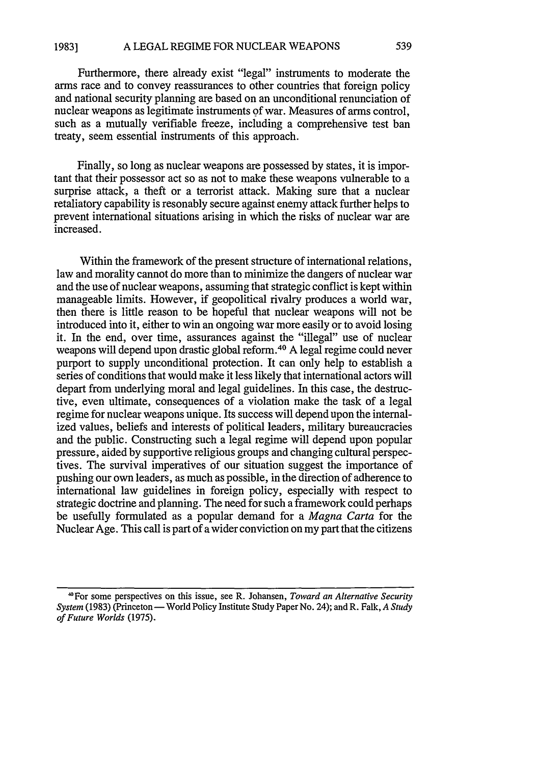### A LEGAL REGIME FOR NUCLEAR WEAPONS **1983]**

Furthermore, there already exist "legal" instruments to moderate the arms race and to convey reassurances to other countries that foreign policy and national security planning are based on an unconditional renunciation of nuclear weapons as legitimate instruments of war. Measures of arms control, such as a mutually verifiable freeze, including a comprehensive test ban treaty, seem essential instruments of this approach.

Finally, so long as nuclear weapons are possessed by states, it is important that their possessor act so as not to make these weapons vulnerable to a surprise attack, a theft or a terrorist attack. Making sure that a nuclear retaliatory capability is resonably secure against enemy attack further helps to prevent international situations arising in which the risks of nuclear war are increased.

Within the framework of the present structure of international relations, law and morality cannot do more than to minimize the dangers of nuclear war and the use of nuclear weapons, assuming that strategic conflict is kept within manageable limits. However, if geopolitical rivalry produces a world war, then there is little reason to be hopeful that nuclear weapons will not be introduced into it, either to win an ongoing war more easily or to avoid losing it. In the end, over time, assurances against the "illegal" use of nuclear weapons will depend upon drastic global reform. 40 A legal regime could never purport to supply unconditional protection. It can only help to establish a series of conditions that would make it less likely that international actors will depart from underlying moral and legal guidelines. In this case, the destructive, even ultimate, consequences of a violation make the task of a legal regime for nuclear weapons unique. Its success will depend upon the internalized values, beliefs and interests of political leaders, military bureaucracies and the public. Constructing such a legal regime will depend upon popular pressure, aided by supportive religious groups and changing cultural perspectives. The survival imperatives of our situation suggest the importance of pushing our own leaders, as much as possible, in the direction of adherence to international law guidelines in foreign policy, especially with respect to strategic doctrine and planning. The need for such a framework could perhaps be usefully formulated as a popular demand for a *Magna Carta* for the Nuclear Age. This call is part of a wider conviction on my part that the citizens

<sup>&#</sup>x27;For some perspectives on this issue, see R. Johansen, *Toward an Alternative Security System* (1983) (Princeton — World Policy Institute Study Paper No. 24); and R. Falk, *A Study of Future Worlds* (1975).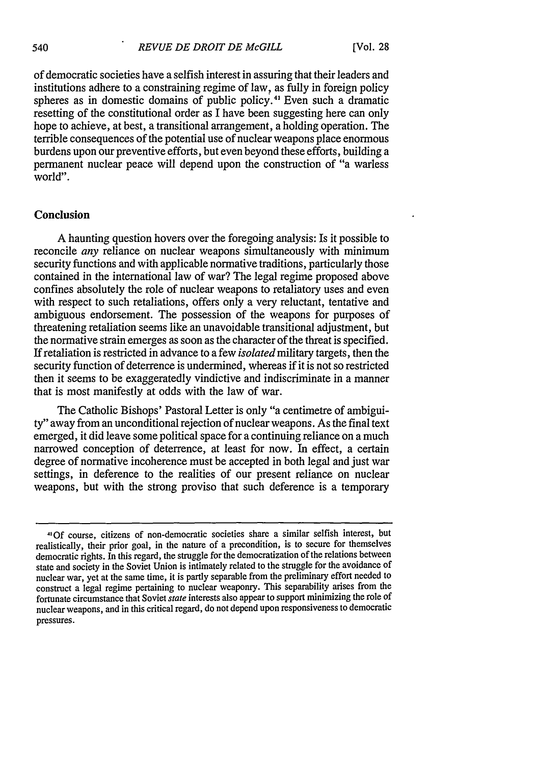of democratic societies have a selfish interest in assuring that their leaders and institutions adhere to a constraining regime of law, as fully in foreign policy spheres as in domestic domains of public policy.<sup>41</sup> Even such a dramatic resetting of the constitutional order as I have been suggesting here can only hope to achieve, at best, a transitional arrangement, a holding operation. The terrible consequences of the potential use of nuclear weapons place enormous burdens upon our preventive efforts, but even beyond these efforts, building a permanent nuclear peace will depend upon the construction of "a warless world".

### Conclusion

**A** haunting question hovers over the foregoing analysis: Is it possible to reconcile *any* reliance on nuclear weapons simultaneously with minimum security functions and with applicable normative traditions, particularly those contained in the international law of war? The legal regime proposed above confines absolutely the role of nuclear weapons to retaliatory uses and even with respect to such retaliations, offers only a very reluctant, tentative and ambiguous endorsement. The possession of the weapons for purposes of threatening retaliation seems like an unavoidable transitional adjustment, but the normative strain emerges as soon as the character of the threat is specified. If retaliation is restricted in advance to a few *isolated* military targets, then the security function of deterrence is undermined, whereas if it is not so restricted then it seems to be exaggeratedly vindictive and indiscriminate in a manner that is most manifestly at odds with the law of war.

The Catholic Bishops' Pastoral Letter is only "a centimetre of ambiguity" away from an unconditional rejection of nuclear weapons. As the final text emerged, it did leave some political space for a continuing reliance on a much narrowed conception of deterrence, at least for now. In effect, a certain degree of normative incoherence must be accepted in both legal and just war settings, in deference to the realities of our present reliance on nuclear weapons, but with the strong proviso that such deference is a temporary

**<sup>41</sup>Of** course, citizens of non-democratic societies share a similar selfish interest, but realistically, their prior goal, in the nature of a precondition, is to secure for themselves democratic rights. In this regard, the struggle for the democratization of the relations between state and society in the Soviet Union is intimately related to the struggle for the avoidance of nuclear war, yet at the same time, it is partly separable from the preliminary effort needed to construct a legal regime pertaining to nuclear weaponry. This separability arises from the fortunate circumstance that Soviet state interests also appear to support minimizing the role of nuclear weapons, and in this critical regard, do not depend upon responsiveness to democratic pressures.